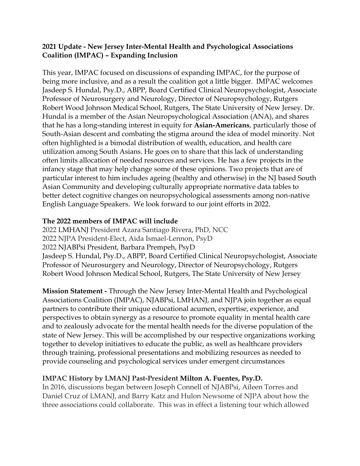## **2021 Update - New Jersey Inter-Mental Health and Psychological Associations Coalition (IMPAC) – Expanding Inclusion**

This year, IMPAC focused on discussions of expanding IMPAC, for the purpose of being more inclusive, and as a result the coalition got a little bigger. IMPAC welcomes Jasdeep S. Hundal, Psy.D., ABPP, Board Certified Clinical Neuropsychologist, Associate Professor of Neurosurgery and Neurology, Director of Neuropsychology, Rutgers Robert Wood Johnson Medical School, Rutgers, The State University of New Jersey. Dr. Hundal is a member of the Asian Neuropsychological Association (ANA), and shares that he has a long-standing interest in equity for **Asian-Americans**, particularly those of South-Asian descent and combating the stigma around the idea of model minority. Not often highlighted is a bimodal distribution of wealth, education, and health care utilization among South Asians. He goes on to share that this lack of understanding often limits allocation of needed resources and services. He has a few projects in the infancy stage that may help change some of these opinions. Two projects that are of particular interest to him includes ageing (healthy and otherwise) in the NJ based South Asian Community and developing culturally appropriate normative data tables to better detect cognitive changes on neuropsychological assessments among non-native English Language Speakers. We look forward to our joint efforts in 2022.

## **The 2022 members of IMPAC will include**

2022 LMHANJ President Azara Santiago Rivera, PhD, NCC 2022 NJPA President-Elect, Aida Ismael-Lennon, PsyD 2022 NJABPsi President, Barbara Prempeh, PsyD Jasdeep S. Hundal, Psy.D., ABPP, Board Certified Clinical Neuropsychologist, Associate Professor of Neurosurgery and Neurology, Director of Neuropsychology, Rutgers Robert Wood Johnson Medical School, Rutgers, The State University of New Jersey

**Mission Statement -** Through the New Jersey Inter-Mental Health and Psychological Associations Coalition (IMPAC), NJABPsi, LMHANJ, and NJPA join together as equal partners to contribute their unique educational acumen, expertise, experience, and perspectives to obtain synergy as a resource to promote equality in mental health care and to zealously advocate for the mental health needs for the diverse population of the state of New Jersey. This will be accomplished by our respective organizations working together to develop initiatives to educate the public, as well as healthcare providers through training, professional presentations and mobilizing resources as needed to provide counseling and psychological services under emergent circumstances

## **IMPAC History by LMANJ Past-President Milton A. Fuentes, Psy.D.**

In 2016, discussions began between Joseph Connell of NJABPsi, Aileen Torres and Daniel Cruz of LMANJ, and Barry Katz and Hulon Newsome of NJPA about how the three associations could collaborate. This was in effect a listening tour which allowed